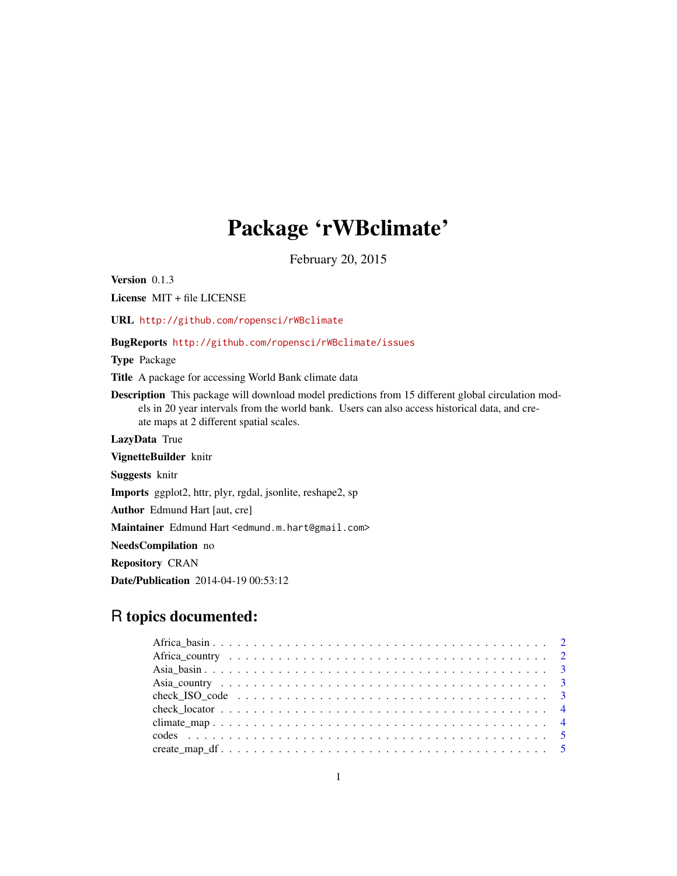# Package 'rWBclimate'

February 20, 2015

Version 0.1.3 License MIT + file LICENSE

URL <http://github.com/ropensci/rWBclimate>

BugReports <http://github.com/ropensci/rWBclimate/issues>

Type Package

Title A package for accessing World Bank climate data

Description This package will download model predictions from 15 different global circulation models in 20 year intervals from the world bank. Users can also access historical data, and create maps at 2 different spatial scales.

LazyData True

VignetteBuilder knitr

Suggests knitr

Imports ggplot2, httr, plyr, rgdal, jsonlite, reshape2, sp

Author Edmund Hart [aut, cre]

Maintainer Edmund Hart <edmund.m.hart@gmail.com>

NeedsCompilation no

Repository CRAN

Date/Publication 2014-04-19 00:53:12

# R topics documented: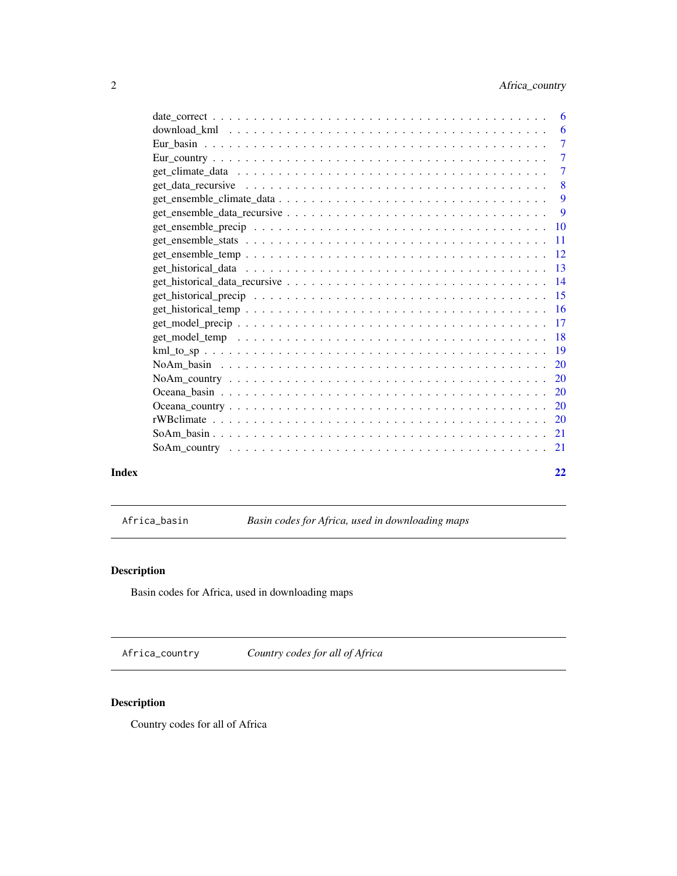<span id="page-1-0"></span>

|       | $\overline{7}$ |
|-------|----------------|
|       |                |
|       |                |
|       | -9             |
|       |                |
|       |                |
|       |                |
|       |                |
|       |                |
|       |                |
|       |                |
|       |                |
|       |                |
|       |                |
|       |                |
|       |                |
|       |                |
|       |                |
|       |                |
|       |                |
|       |                |
|       |                |
| Index | 22             |

Africa\_basin *Basin codes for Africa, used in downloading maps*

# Description

Basin codes for Africa, used in downloading maps

Africa\_country *Country codes for all of Africa*

# Description

Country codes for all of Africa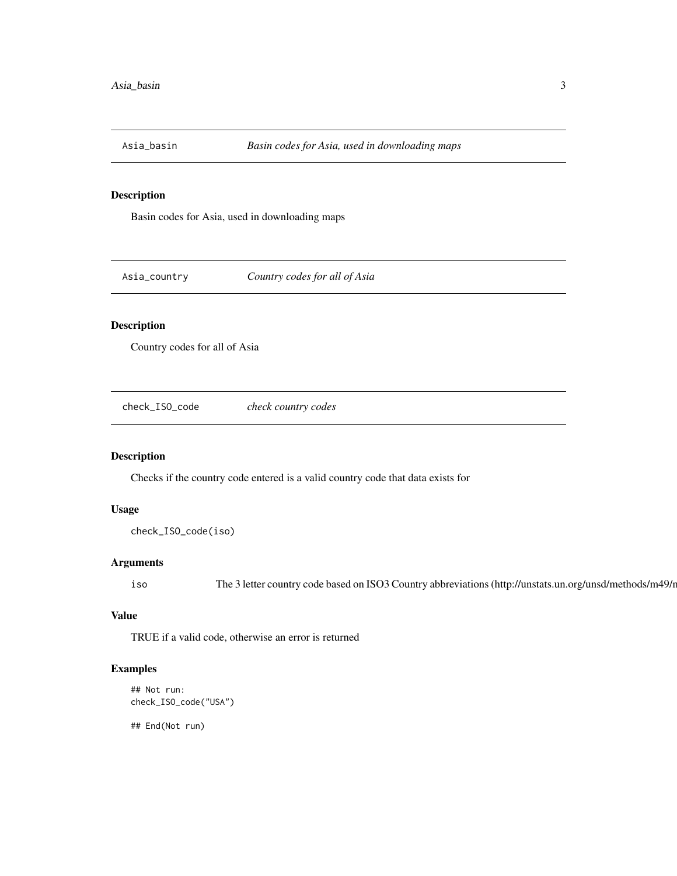<span id="page-2-0"></span>

Basin codes for Asia, used in downloading maps

Asia\_country *Country codes for all of Asia*

# Description

Country codes for all of Asia

check\_ISO\_code *check country codes*

# Description

Checks if the country code entered is a valid country code that data exists for

#### Usage

check\_ISO\_code(iso)

#### Arguments

iso The 3 letter country code based on ISO3 Country abbreviations (http://unstats.un.org/unsd/methods/m49/r

# Value

TRUE if a valid code, otherwise an error is returned

# Examples

```
## Not run:
check_ISO_code("USA")
```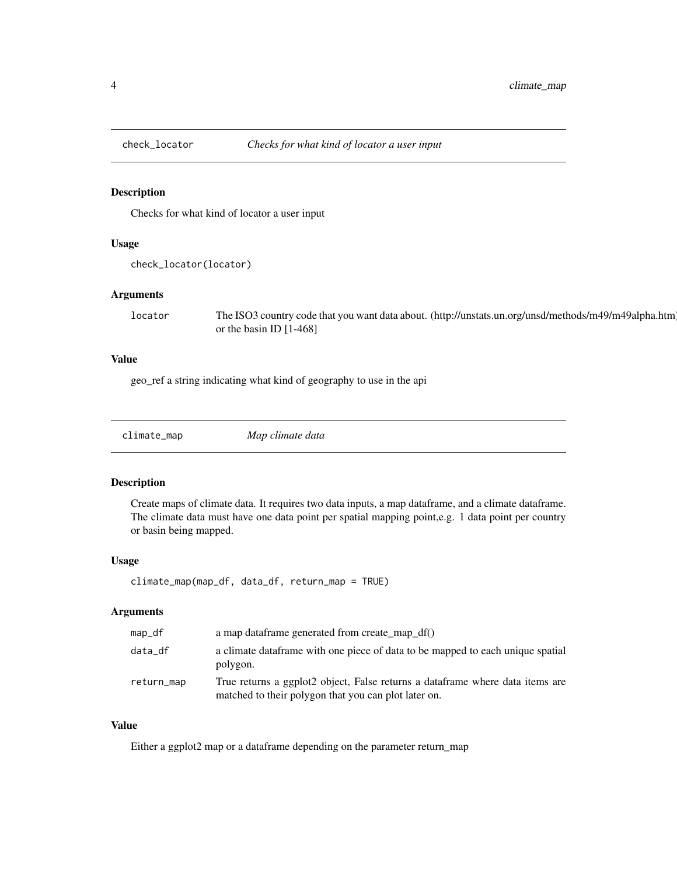<span id="page-3-0"></span>

Checks for what kind of locator a user input

# Usage

```
check_locator(locator)
```
#### Arguments

locator The ISO3 country code that you want data about. (http://unstats.un.org/unsd/methods/m49/m49alpha.htm) or the basin ID [1-468]

# Value

geo\_ref a string indicating what kind of geography to use in the api

climate\_map *Map climate data*

#### Description

Create maps of climate data. It requires two data inputs, a map dataframe, and a climate dataframe. The climate data must have one data point per spatial mapping point,e.g. 1 data point per country or basin being mapped.

#### Usage

climate\_map(map\_df, data\_df, return\_map = TRUE)

# Arguments

| map_df     | a map dataframe generated from create_map_df()                                                                                        |
|------------|---------------------------------------------------------------------------------------------------------------------------------------|
| data_df    | a climate data frame with one piece of data to be mapped to each unique spatial<br>polygon.                                           |
| return_map | True returns a ggplot2 object, False returns a dataframe where data items are<br>matched to their polygon that you can plot later on. |

# Value

Either a ggplot2 map or a dataframe depending on the parameter return\_map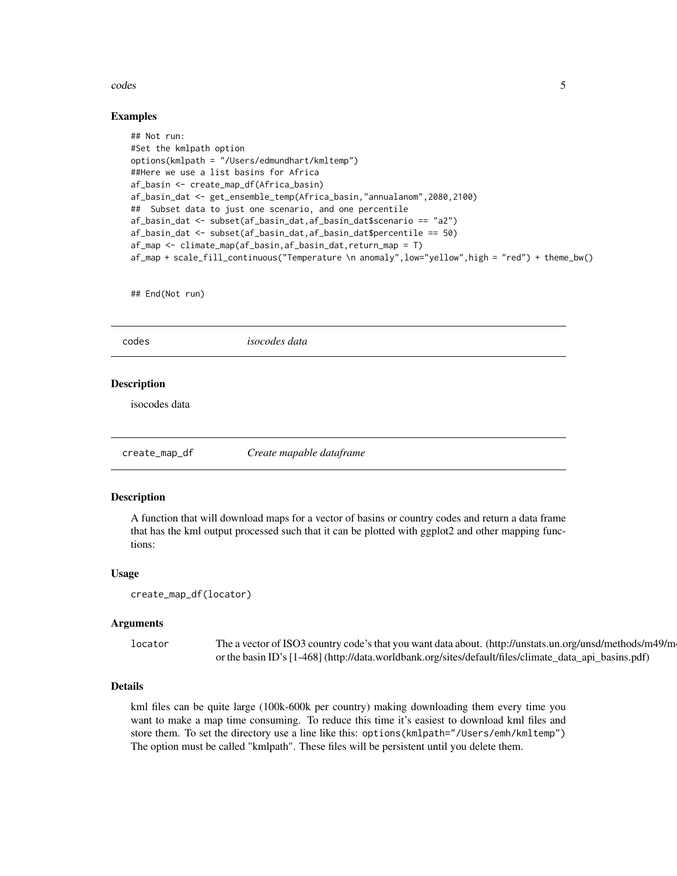#### <span id="page-4-0"></span>codes 5

#### Examples

```
## Not run:
#Set the kmlpath option
options(kmlpath = "/Users/edmundhart/kmltemp")
##Here we use a list basins for Africa
af_basin <- create_map_df(Africa_basin)
af_basin_dat <- get_ensemble_temp(Africa_basin,"annualanom",2080,2100)
## Subset data to just one scenario, and one percentile
af_basin_dat <- subset(af_basin_dat,af_basin_dat$scenario == "a2")
af_basin_dat <- subset(af_basin_dat,af_basin_dat$percentile == 50)
af_map <- climate_map(af_basin,af_basin_dat,return_map = T)
af_map + scale_fill_continuous("Temperature \n anomaly",low="yellow",high = "red") + theme_bw()
```
## End(Not run)

codes *isocodes data*

#### **Description**

isocodes data

create\_map\_df *Create mapable dataframe*

# **Description**

A function that will download maps for a vector of basins or country codes and return a data frame that has the kml output processed such that it can be plotted with ggplot2 and other mapping functions:

#### Usage

```
create_map_df(locator)
```
#### Arguments

locator The a vector of ISO3 country code's that you want data about. (http://unstats.un.org/unsd/methods/m49/m or the basin ID's [1-468] (http://data.worldbank.org/sites/default/files/climate\_data\_api\_basins.pdf)

#### Details

kml files can be quite large (100k-600k per country) making downloading them every time you want to make a map time consuming. To reduce this time it's easiest to download kml files and store them. To set the directory use a line like this: options(kmlpath="/Users/emh/kmltemp") The option must be called "kmlpath". These files will be persistent until you delete them.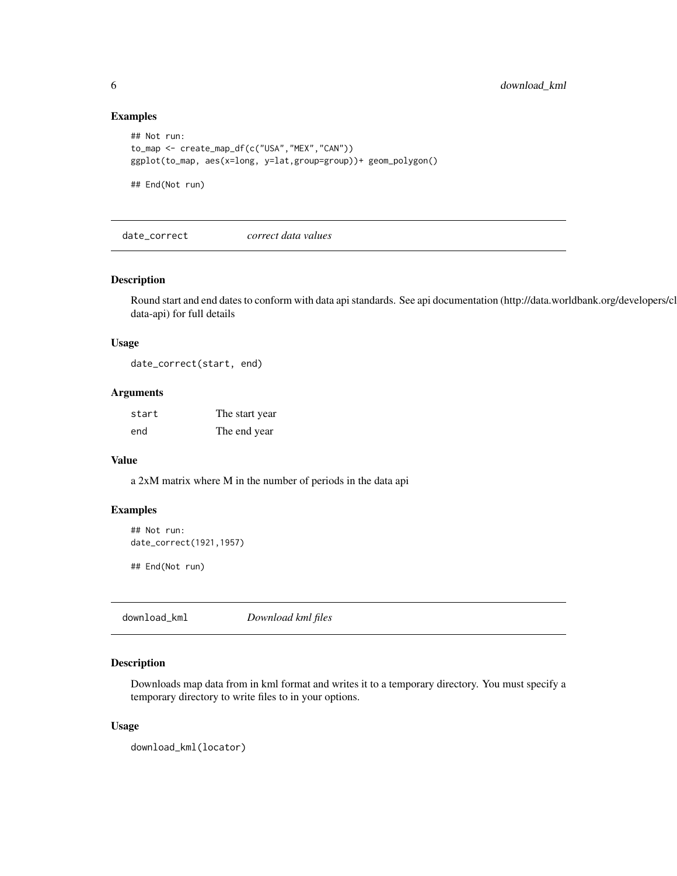#### Examples

```
## Not run:
to_map <- create_map_df(c("USA","MEX","CAN"))
ggplot(to_map, aes(x=long, y=lat,group=group))+ geom_polygon()
## End(Not run)
```
date\_correct *correct data values*

#### Description

Round start and end dates to conform with data api standards. See api documentation (http://data.worldbank.org/developers/climatedata-api) for full details

#### Usage

date\_correct(start, end)

#### Arguments

| start | The start year |
|-------|----------------|
| end   | The end year   |

#### Value

a 2xM matrix where M in the number of periods in the data api

# Examples

```
## Not run:
date_correct(1921,1957)
```
## End(Not run)

download\_kml *Download kml files*

# Description

Downloads map data from in kml format and writes it to a temporary directory. You must specify a temporary directory to write files to in your options.

#### Usage

```
download_kml(locator)
```
<span id="page-5-0"></span>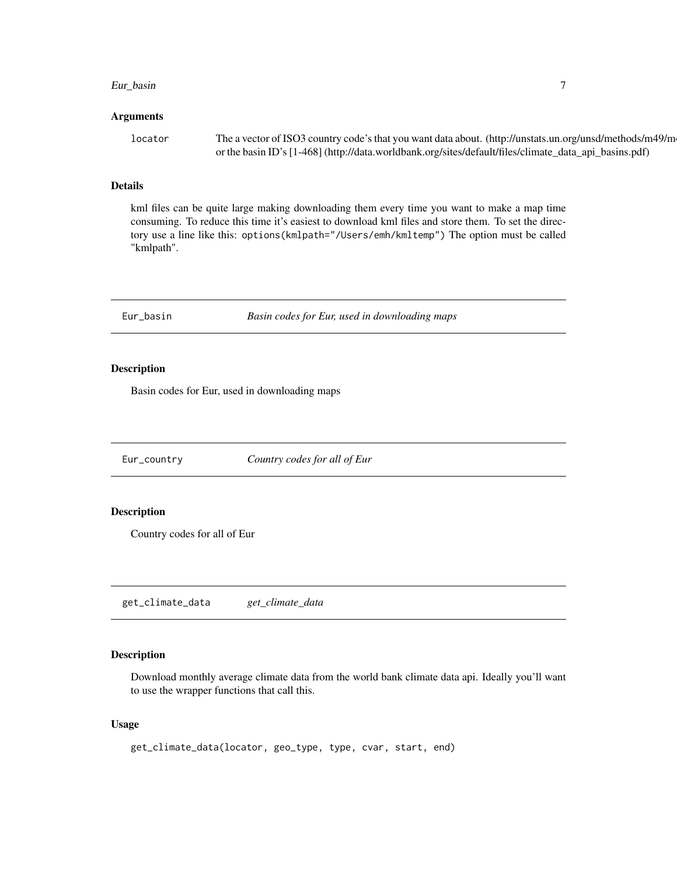#### <span id="page-6-0"></span>Eur\_basin 7

#### Arguments

| locator | The a vector of ISO3 country code's that you want data about. (http://unstats.un.org/unsd/methods/m49/m- |
|---------|----------------------------------------------------------------------------------------------------------|
|         | or the basin ID's [1-468] (http://data.worldbank.org/sites/default/files/climate_data_api_basins.pdf)    |

#### Details

kml files can be quite large making downloading them every time you want to make a map time consuming. To reduce this time it's easiest to download kml files and store them. To set the directory use a line like this: options(kmlpath="/Users/emh/kmltemp") The option must be called "kmlpath".

Eur\_basin *Basin codes for Eur, used in downloading maps*

#### Description

Basin codes for Eur, used in downloading maps

Eur\_country *Country codes for all of Eur*

# Description

Country codes for all of Eur

get\_climate\_data *get\_climate\_data*

# Description

Download monthly average climate data from the world bank climate data api. Ideally you'll want to use the wrapper functions that call this.

# Usage

```
get_climate_data(locator, geo_type, type, cvar, start, end)
```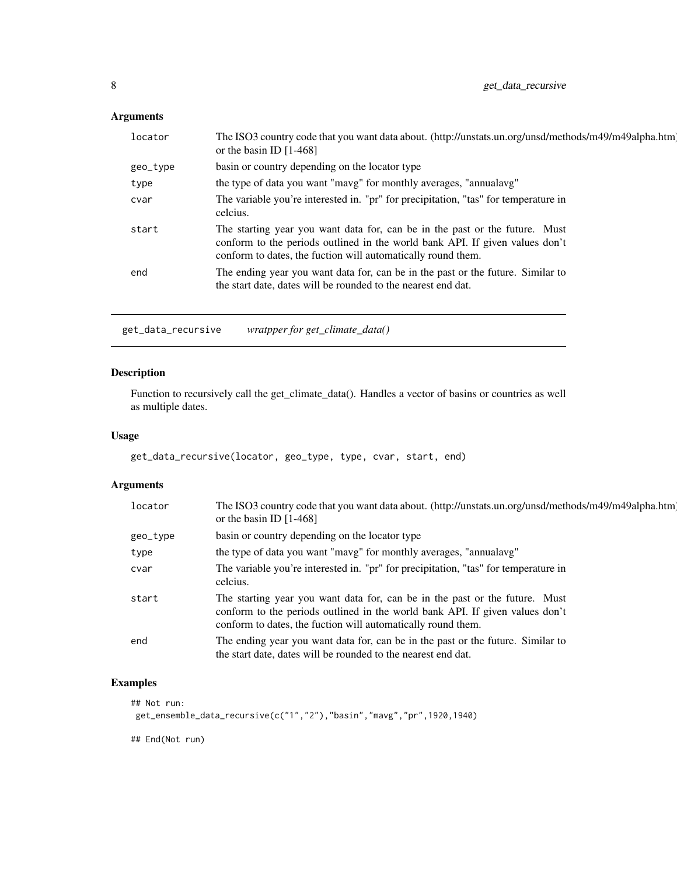# <span id="page-7-0"></span>Arguments

| locator  | The ISO3 country code that you want data about. (http://unstats.un.org/unsd/methods/m49/m49alpha.htm)<br>or the basin ID $[1-468]$                                                                                          |
|----------|-----------------------------------------------------------------------------------------------------------------------------------------------------------------------------------------------------------------------------|
| geo_type | basin or country depending on the locator type                                                                                                                                                                              |
| type     | the type of data you want "mavg" for monthly averages, "annualavg"                                                                                                                                                          |
| cvar     | The variable you're interested in. "pr" for precipitation, "tas" for temperature in<br>celcius.                                                                                                                             |
| start    | The starting year you want data for, can be in the past or the future. Must<br>conform to the periods outlined in the world bank API. If given values don't<br>conform to dates, the fuction will automatically round them. |
| end      | The ending year you want data for, can be in the past or the future. Similar to<br>the start date, dates will be rounded to the nearest end dat.                                                                            |

get\_data\_recursive *wratpper for get\_climate\_data()*

# Description

Function to recursively call the get\_climate\_data(). Handles a vector of basins or countries as well as multiple dates.

# Usage

```
get_data_recursive(locator, geo_type, type, cvar, start, end)
```
# Arguments

| locator  | The ISO3 country code that you want data about. (http://unstats.un.org/unsd/methods/m49/m49alpha.htm)<br>or the basin ID $[1-468]$                                                                                          |
|----------|-----------------------------------------------------------------------------------------------------------------------------------------------------------------------------------------------------------------------------|
| geo_type | basin or country depending on the locator type                                                                                                                                                                              |
| type     | the type of data you want "mavg" for monthly averages, "annualavg"                                                                                                                                                          |
| cvar     | The variable you're interested in. "pr" for precipitation, "tas" for temperature in<br>celcius.                                                                                                                             |
| start    | The starting year you want data for, can be in the past or the future. Must<br>conform to the periods outlined in the world bank API. If given values don't<br>conform to dates, the fuction will automatically round them. |
| end      | The ending year you want data for, can be in the past or the future. Similar to<br>the start date, dates will be rounded to the nearest end dat.                                                                            |

# Examples

```
## Not run:
get_ensemble_data_recursive(c("1","2"),"basin","mavg","pr",1920,1940)
```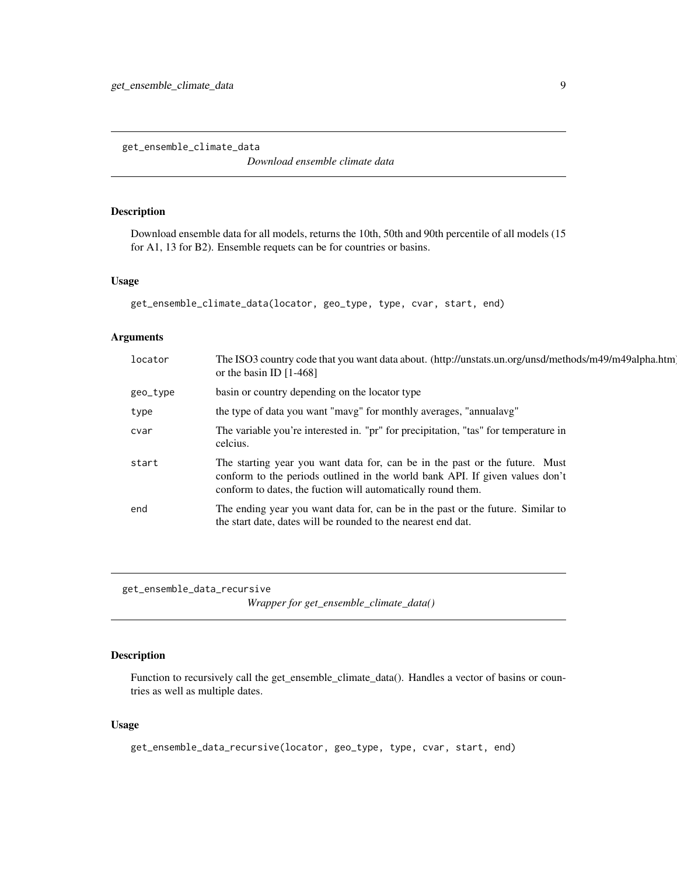<span id="page-8-0"></span>get\_ensemble\_climate\_data

*Download ensemble climate data*

# Description

Download ensemble data for all models, returns the 10th, 50th and 90th percentile of all models (15 for A1, 13 for B2). Ensemble requets can be for countries or basins.

#### Usage

```
get_ensemble_climate_data(locator, geo_type, type, cvar, start, end)
```
# Arguments

| locator  | The ISO3 country code that you want data about. (http://unstats.un.org/unsd/methods/m49/m49alpha.htm)<br>or the basin ID $[1-468]$                                                                                          |
|----------|-----------------------------------------------------------------------------------------------------------------------------------------------------------------------------------------------------------------------------|
| geo_type | basin or country depending on the locator type                                                                                                                                                                              |
| type     | the type of data you want "mavg" for monthly averages, "annualavg"                                                                                                                                                          |
| cvar     | The variable you're interested in. "pr" for precipitation, "tas" for temperature in<br>celcius.                                                                                                                             |
| start    | The starting year you want data for, can be in the past or the future. Must<br>conform to the periods outlined in the world bank API. If given values don't<br>conform to dates, the fuction will automatically round them. |
| end      | The ending year you want data for, can be in the past or the future. Similar to<br>the start date, dates will be rounded to the nearest end dat.                                                                            |

get\_ensemble\_data\_recursive *Wrapper for get\_ensemble\_climate\_data()*

# Description

Function to recursively call the get\_ensemble\_climate\_data(). Handles a vector of basins or countries as well as multiple dates.

# Usage

```
get_ensemble_data_recursive(locator, geo_type, type, cvar, start, end)
```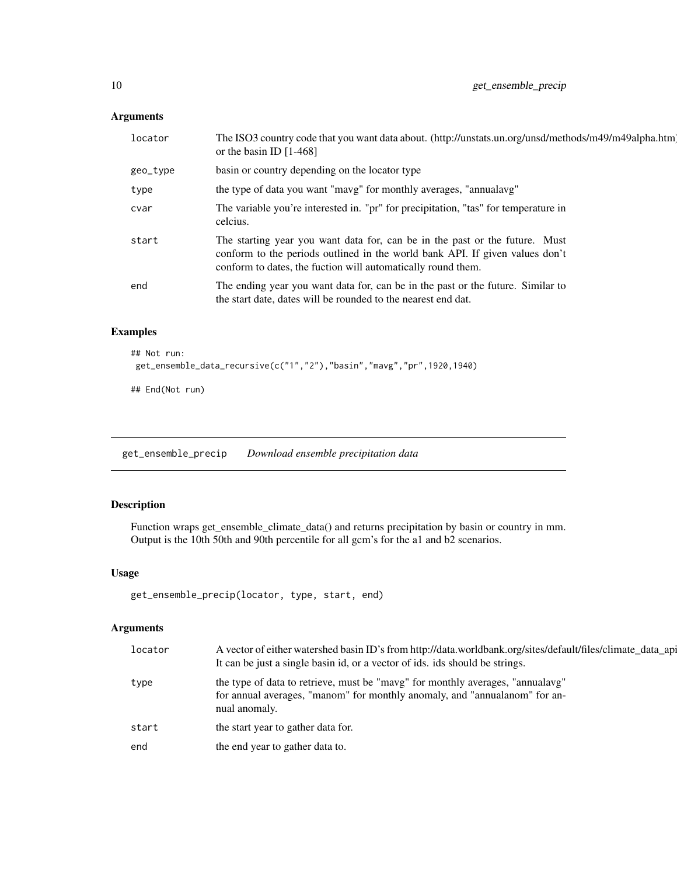# <span id="page-9-0"></span>Arguments

| locator  | The ISO3 country code that you want data about. (http://unstats.un.org/unsd/methods/m49/m49alpha.htm)<br>or the basin ID $[1-468]$                                                                                          |
|----------|-----------------------------------------------------------------------------------------------------------------------------------------------------------------------------------------------------------------------------|
| geo_type | basin or country depending on the locator type                                                                                                                                                                              |
| type     | the type of data you want "mavg" for monthly averages, "annualavg"                                                                                                                                                          |
| cvar     | The variable you're interested in. "pr" for precipitation, "tas" for temperature in<br>celcius.                                                                                                                             |
| start    | The starting year you want data for, can be in the past or the future. Must<br>conform to the periods outlined in the world bank API. If given values don't<br>conform to dates, the fuction will automatically round them. |
| end      | The ending year you want data for, can be in the past or the future. Similar to<br>the start date, dates will be rounded to the nearest end dat.                                                                            |

# Examples

```
## Not run:
get_ensemble_data_recursive(c("1","2"),"basin","mavg","pr",1920,1940)
## End(Not run)
```
get\_ensemble\_precip *Download ensemble precipitation data*

# Description

Function wraps get\_ensemble\_climate\_data() and returns precipitation by basin or country in mm. Output is the 10th 50th and 90th percentile for all gcm's for the a1 and b2 scenarios.

#### Usage

```
get_ensemble_precip(locator, type, start, end)
```
#### Arguments

| locator | A vector of either watershed basin ID's from http://data.worldbank.org/sites/default/files/climate_data_api<br>It can be just a single basin id, or a vector of ids. ids should be strings. |
|---------|---------------------------------------------------------------------------------------------------------------------------------------------------------------------------------------------|
| type    | the type of data to retrieve, must be "mavg" for monthly averages, "annualayg"<br>for annual averages, "manom" for monthly anomaly, and "annualanom" for an-<br>nual anomaly.               |
| start   | the start year to gather data for.                                                                                                                                                          |
| end     | the end year to gather data to.                                                                                                                                                             |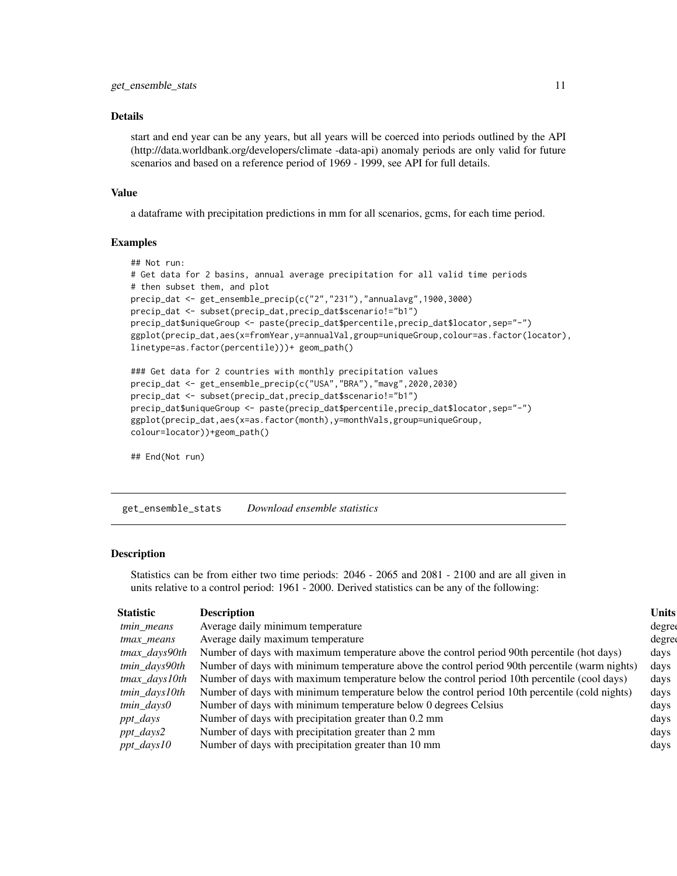#### <span id="page-10-0"></span>Details

start and end year can be any years, but all years will be coerced into periods outlined by the API (http://data.worldbank.org/developers/climate -data-api) anomaly periods are only valid for future scenarios and based on a reference period of 1969 - 1999, see API for full details.

#### Value

a dataframe with precipitation predictions in mm for all scenarios, gcms, for each time period.

# Examples

```
## Not run:
# Get data for 2 basins, annual average precipitation for all valid time periods
# then subset them, and plot
precip_dat <- get_ensemble_precip(c("2","231"),"annualavg",1900,3000)
precip_dat <- subset(precip_dat,precip_dat$scenario!="b1")
precip_dat$uniqueGroup <- paste(precip_dat$percentile,precip_dat$locator,sep="-")
ggplot(precip_dat,aes(x=fromYear,y=annualVal,group=uniqueGroup,colour=as.factor(locator),
linetype=as.factor(percentile)))+ geom_path()
### Get data for 2 countries with monthly precipitation values
precip_dat <- get_ensemble_precip(c("USA","BRA"),"mavg",2020,2030)
precip_dat <- subset(precip_dat,precip_dat$scenario!="b1")
```

```
precip_dat$uniqueGroup <- paste(precip_dat$percentile,precip_dat$locator,sep="-")
ggplot(precip_dat,aes(x=as.factor(month),y=monthVals,group=uniqueGroup,
colour=locator))+geom_path()
```
## End(Not run)

get\_ensemble\_stats *Download ensemble statistics*

#### Description

Statistics can be from either two time periods: 2046 - 2065 and 2081 - 2100 and are all given in units relative to a control period: 1961 - 2000. Derived statistics can be any of the following:

| Statistic        | Description                                                                                    | <b>Units</b> |
|------------------|------------------------------------------------------------------------------------------------|--------------|
| tmin means       | Average daily minimum temperature                                                              | degree       |
| tmax means       | Average daily maximum temperature                                                              | degree       |
| tmax_days90th    | Number of days with maximum temperature above the control period 90th percentile (hot days)    | days         |
| tmin_days90th    | Number of days with minimum temperature above the control period 90th percentile (warm nights) | days         |
| $t$ max_days10th | Number of days with maximum temperature below the control period 10th percentile (cool days)   | days         |
| tmin_days10th    | Number of days with minimum temperature below the control period 10th percentile (cold nights) | days         |
| $tmin\_daysO$    | Number of days with minimum temperature below 0 degrees Celsius                                | days         |
| ppt_days         | Number of days with precipitation greater than 0.2 mm                                          | days         |
| $ppt\_days2$     | Number of days with precipitation greater than 2 mm                                            | days         |
| $ppt\_days10$    | Number of days with precipitation greater than 10 mm                                           | days         |
|                  |                                                                                                |              |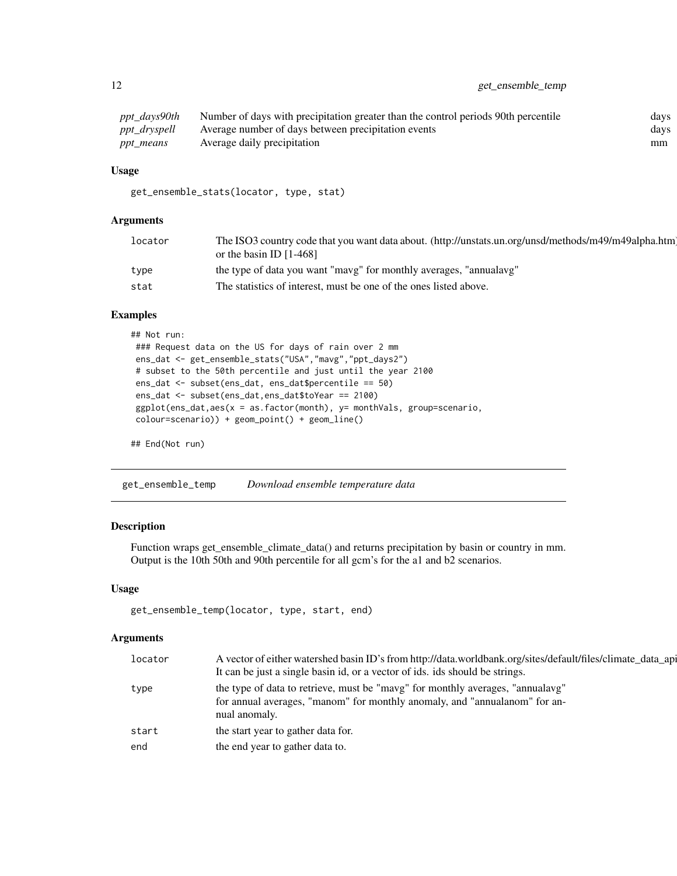<span id="page-11-0"></span>

| ppt_days90th | Number of days with precipitation greater than the control periods 90th percentile | days |
|--------------|------------------------------------------------------------------------------------|------|
| ppt_dryspell | Average number of days between precipitation events                                | days |
| ppt_means    | Average daily precipitation                                                        | mm   |

# Usage

```
get_ensemble_stats(locator, type, stat)
```
# Arguments

| locator | The ISO3 country code that you want data about. (http://unstats.un.org/unsd/methods/m49/m49alpha.htm)<br>or the basin ID $[1-468]$ |
|---------|------------------------------------------------------------------------------------------------------------------------------------|
| type    | the type of data you want "mavg" for monthly averages, "annualavg"                                                                 |
| stat    | The statistics of interest, must be one of the ones listed above.                                                                  |

#### Examples

```
## Not run:
### Request data on the US for days of rain over 2 mm
ens_dat <- get_ensemble_stats("USA","mavg","ppt_days2")
# subset to the 50th percentile and just until the year 2100
ens_dat <- subset(ens_dat, ens_dat$percentile == 50)
ens_dat <- subset(ens_dat,ens_dat$toYear == 2100)
ggplot(ens_dat,aes(x = as.factor(month), y= monthVals, group=scenario,
colour=scenario)) + geom_point() + geom_line()
```

```
## End(Not run)
```
get\_ensemble\_temp *Download ensemble temperature data*

# Description

Function wraps get\_ensemble\_climate\_data() and returns precipitation by basin or country in mm. Output is the 10th 50th and 90th percentile for all gcm's for the a1 and b2 scenarios.

#### Usage

```
get_ensemble_temp(locator, type, start, end)
```
# Arguments

| locator | A vector of either watershed basin ID's from http://data.worldbank.org/sites/default/files/climate_data_api                                                                   |
|---------|-------------------------------------------------------------------------------------------------------------------------------------------------------------------------------|
|         | It can be just a single basin id, or a vector of ids. ids should be strings.                                                                                                  |
| type    | the type of data to retrieve, must be "mavg" for monthly averages, "annualayg"<br>for annual averages, "manom" for monthly anomaly, and "annualanom" for an-<br>nual anomaly. |
| start   | the start year to gather data for.                                                                                                                                            |
| end     | the end year to gather data to.                                                                                                                                               |
|         |                                                                                                                                                                               |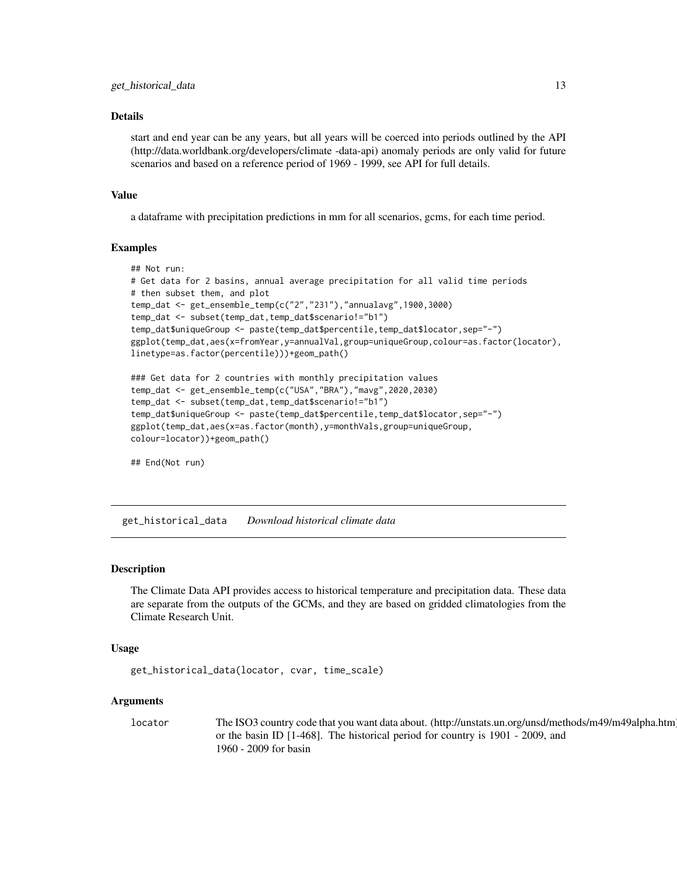#### <span id="page-12-0"></span>Details

start and end year can be any years, but all years will be coerced into periods outlined by the API (http://data.worldbank.org/developers/climate -data-api) anomaly periods are only valid for future scenarios and based on a reference period of 1969 - 1999, see API for full details.

#### Value

a dataframe with precipitation predictions in mm for all scenarios, gcms, for each time period.

#### Examples

```
## Not run:
# Get data for 2 basins, annual average precipitation for all valid time periods
# then subset them, and plot
temp_dat <- get_ensemble_temp(c("2","231"),"annualavg",1900,3000)
temp_dat <- subset(temp_dat,temp_dat$scenario!="b1")
temp_dat$uniqueGroup <- paste(temp_dat$percentile,temp_dat$locator,sep="-")
ggplot(temp_dat,aes(x=fromYear,y=annualVal,group=uniqueGroup,colour=as.factor(locator),
linetype=as.factor(percentile)))+geom_path()
```

```
### Get data for 2 countries with monthly precipitation values
temp_dat <- get_ensemble_temp(c("USA","BRA"),"mavg",2020,2030)
temp_dat <- subset(temp_dat,temp_dat$scenario!="b1")
temp_dat$uniqueGroup <- paste(temp_dat$percentile,temp_dat$locator,sep="-")
ggplot(temp_dat,aes(x=as.factor(month),y=monthVals,group=uniqueGroup,
colour=locator))+geom_path()
```
## End(Not run)

get\_historical\_data *Download historical climate data*

#### Description

The Climate Data API provides access to historical temperature and precipitation data. These data are separate from the outputs of the GCMs, and they are based on gridded climatologies from the Climate Research Unit.

#### Usage

```
get_historical_data(locator, cvar, time_scale)
```
#### Arguments

locator The ISO3 country code that you want data about. (http://unstats.un.org/unsd/methods/m49/m49alpha.htm) or the basin ID [1-468]. The historical period for country is 1901 - 2009, and 1960 - 2009 for basin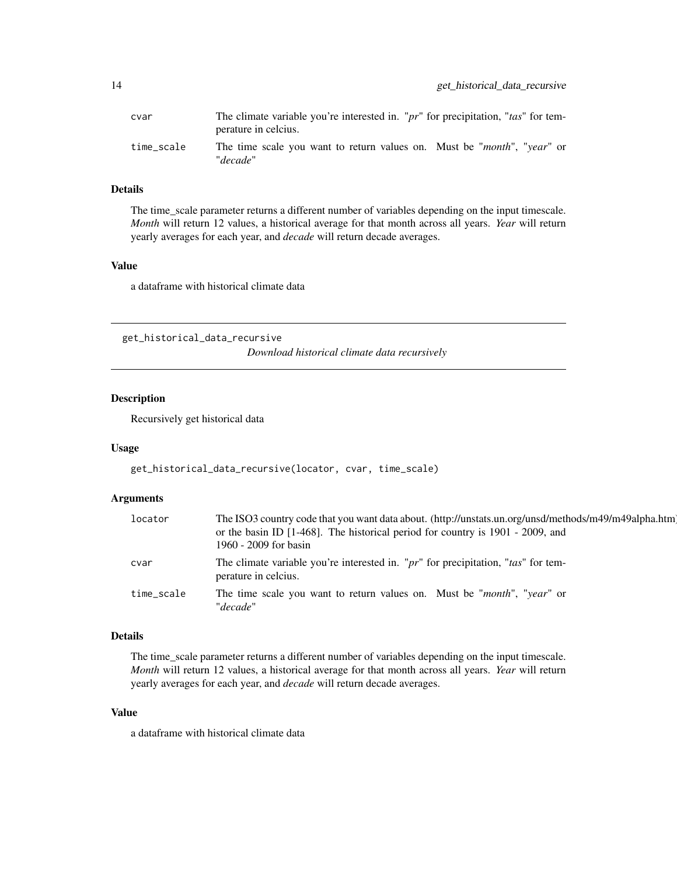<span id="page-13-0"></span>

| cvar       | The climate variable you're interested in. "pr" for precipitation, "tas" for tem-<br>perature in celcius. |
|------------|-----------------------------------------------------------------------------------------------------------|
| time scale | The time scale you want to return values on. Must be " <i>month</i> ", " <i>year</i> " or<br>"decade"     |

# Details

The time\_scale parameter returns a different number of variables depending on the input timescale. *Month* will return 12 values, a historical average for that month across all years. *Year* will return yearly averages for each year, and *decade* will return decade averages.

#### Value

a dataframe with historical climate data

get\_historical\_data\_recursive *Download historical climate data recursively*

# Description

Recursively get historical data

#### Usage

```
get_historical_data_recursive(locator, cvar, time_scale)
```
### Arguments

| locator    | The ISO3 country code that you want data about. (http://unstats.un.org/unsd/methods/m49/m49alpha.htm)<br>or the basin ID [1-468]. The historical period for country is 1901 - 2009, and<br>1960 - 2009 for basin |
|------------|------------------------------------------------------------------------------------------------------------------------------------------------------------------------------------------------------------------|
| cvar       | The climate variable you're interested in. "pr" for precipitation, "tas" for tem-<br>perature in celcius.                                                                                                        |
| time scale | The time scale you want to return values on. Must be " <i>month</i> ", " <i>year</i> " or<br>"decade"                                                                                                            |

#### Details

The time\_scale parameter returns a different number of variables depending on the input timescale. *Month* will return 12 values, a historical average for that month across all years. *Year* will return yearly averages for each year, and *decade* will return decade averages.

# Value

a dataframe with historical climate data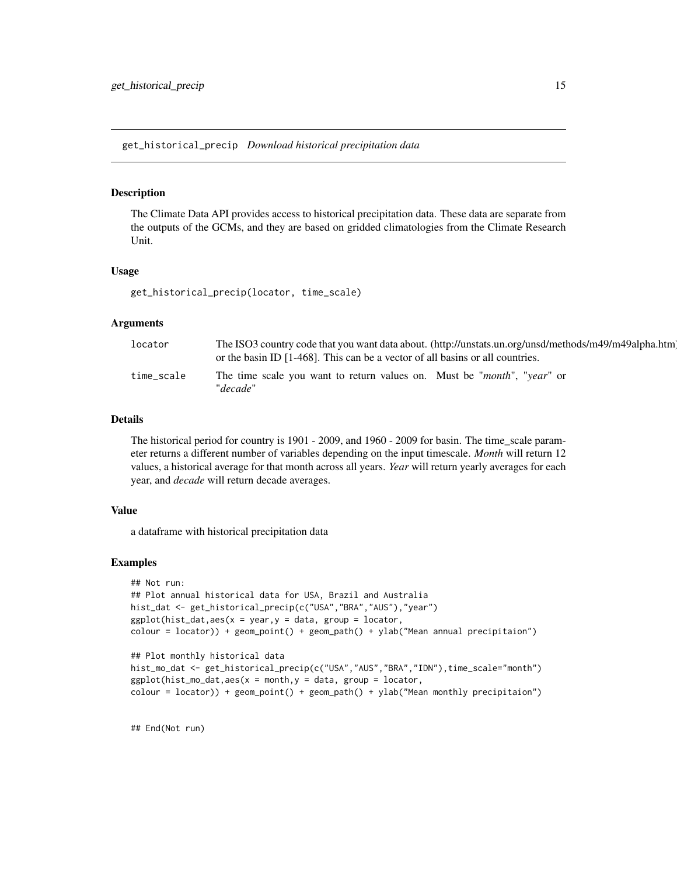<span id="page-14-0"></span>get\_historical\_precip *Download historical precipitation data*

#### **Description**

The Climate Data API provides access to historical precipitation data. These data are separate from the outputs of the GCMs, and they are based on gridded climatologies from the Climate Research Unit.

#### Usage

get\_historical\_precip(locator, time\_scale)

#### Arguments

| locator    | The ISO3 country code that you want data about. (http://unstats.un.org/unsd/methods/m49/m49alpha.htm)<br>or the basin ID $[1-468]$ . This can be a vector of all basins or all countries. |
|------------|-------------------------------------------------------------------------------------------------------------------------------------------------------------------------------------------|
| time_scale | The time scale you want to return values on. Must be " <i>month</i> ", " <i>year</i> " or<br>"decade"                                                                                     |

# Details

The historical period for country is 1901 - 2009, and 1960 - 2009 for basin. The time scale parameter returns a different number of variables depending on the input timescale. *Month* will return 12 values, a historical average for that month across all years. *Year* will return yearly averages for each year, and *decade* will return decade averages.

#### Value

a dataframe with historical precipitation data

#### Examples

```
## Not run:
## Plot annual historical data for USA, Brazil and Australia
hist_dat <- get_historical_precip(c("USA","BRA","AUS"),"year")
ggplot(hist_data,aes(x = year, y = data, group = locator,colour = locator)) + geom_point() + geom_path() + ylab("Mean annual precipitaion")
## Plot monthly historical data
hist_mo_dat <- get_historical_precip(c("USA","AUS","BRA","IDN"),time_scale="month")
ggplot(hist_mo_data,aes(x = month, y = data, group = location,colour = locator)) + geom_point() + geom_path() + ylab("Mean monthly precipitaion")
```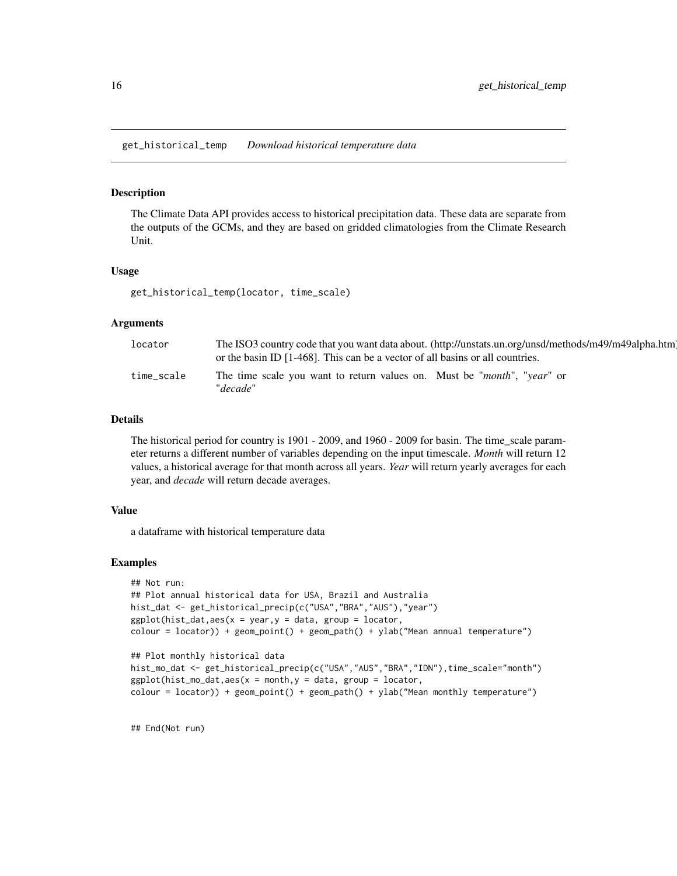<span id="page-15-0"></span>get\_historical\_temp *Download historical temperature data*

#### Description

The Climate Data API provides access to historical precipitation data. These data are separate from the outputs of the GCMs, and they are based on gridded climatologies from the Climate Research Unit.

#### Usage

get\_historical\_temp(locator, time\_scale)

#### Arguments

| locator    | The ISO3 country code that you want data about. (http://unstats.un.org/unsd/methods/m49/m49alpha.htm)<br>or the basin ID $[1-468]$ . This can be a vector of all basins or all countries. |
|------------|-------------------------------------------------------------------------------------------------------------------------------------------------------------------------------------------|
| time scale | The time scale you want to return values on. Must be " <i>month</i> ", " <i>year</i> " or<br>"decade"                                                                                     |

### Details

The historical period for country is 1901 - 2009, and 1960 - 2009 for basin. The time scale parameter returns a different number of variables depending on the input timescale. *Month* will return 12 values, a historical average for that month across all years. *Year* will return yearly averages for each year, and *decade* will return decade averages.

#### Value

a dataframe with historical temperature data

#### Examples

```
## Not run:
## Plot annual historical data for USA, Brazil and Australia
hist_dat <- get_historical_precip(c("USA","BRA","AUS"),"year")
ggplot(hist_data,aes(x = year, y = data, group = locator,colour = locator)) + geom_point() + geom_path() + ylab("Mean annual temperature")
## Plot monthly historical data
hist_mo_dat <- get_historical_precip(c("USA","AUS","BRA","IDN"),time_scale="month")
ggplot(hist_mo_data,aes(x = month, y = data, group = location,colour = locator)) + geom_point() + geom_path() + ylab("Mean monthly temperature")
```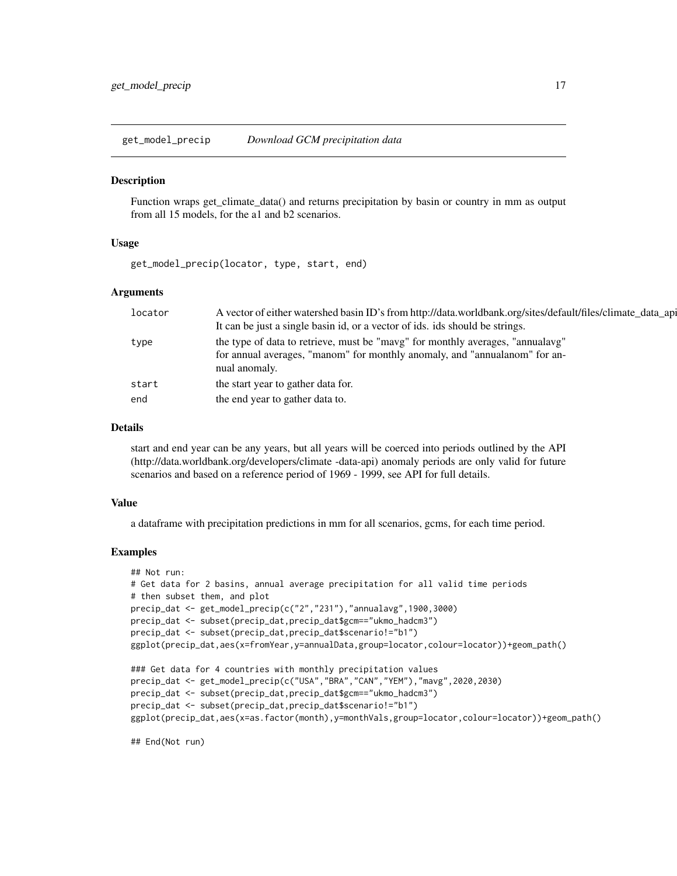<span id="page-16-0"></span>get\_model\_precip *Download GCM precipitation data*

#### **Description**

Function wraps get\_climate\_data() and returns precipitation by basin or country in mm as output from all 15 models, for the a1 and b2 scenarios.

# Usage

get\_model\_precip(locator, type, start, end)

### Arguments

| locator | A vector of either watershed basin ID's from http://data.worldbank.org/sites/default/files/climate_data_api |
|---------|-------------------------------------------------------------------------------------------------------------|
|         | It can be just a single basin id, or a vector of ids. ids should be strings.                                |
| type    | the type of data to retrieve, must be "mavg" for monthly averages, "annualayg"                              |
|         | for annual averages, "manom" for monthly anomaly, and "annualanom" for an-                                  |
|         | nual anomaly.                                                                                               |
| start   | the start year to gather data for.                                                                          |
| end     | the end year to gather data to.                                                                             |
|         |                                                                                                             |

#### Details

start and end year can be any years, but all years will be coerced into periods outlined by the API (http://data.worldbank.org/developers/climate -data-api) anomaly periods are only valid for future scenarios and based on a reference period of 1969 - 1999, see API for full details.

#### Value

a dataframe with precipitation predictions in mm for all scenarios, gcms, for each time period.

#### Examples

```
## Not run:
# Get data for 2 basins, annual average precipitation for all valid time periods
# then subset them, and plot
precip_dat <- get_model_precip(c("2","231"),"annualavg",1900,3000)
precip_dat <- subset(precip_dat,precip_dat$gcm=="ukmo_hadcm3")
precip_dat <- subset(precip_dat,precip_dat$scenario!="b1")
ggplot(precip_dat,aes(x=fromYear,y=annualData,group=locator,colour=locator))+geom_path()
### Get data for 4 countries with monthly precipitation values
precip_dat <- get_model_precip(c("USA","BRA","CAN","YEM"),"mavg",2020,2030)
precip_dat <- subset(precip_dat,precip_dat$gcm=="ukmo_hadcm3")
precip_dat <- subset(precip_dat,precip_dat$scenario!="b1")
ggplot(precip_dat,aes(x=as.factor(month),y=monthVals,group=locator,colour=locator))+geom_path()
```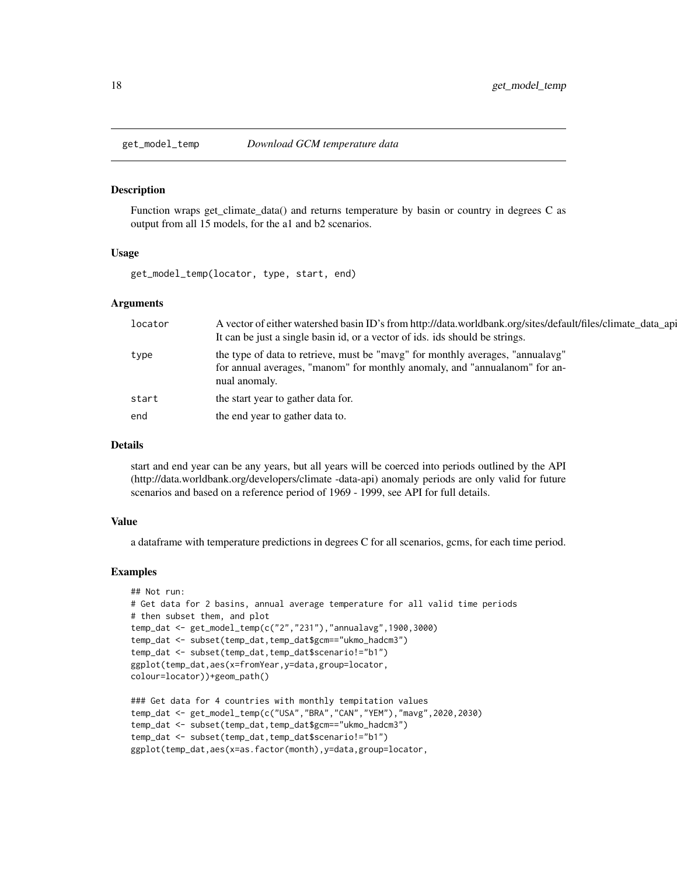<span id="page-17-0"></span>

Function wraps get\_climate\_data() and returns temperature by basin or country in degrees C as output from all 15 models, for the a1 and b2 scenarios.

#### Usage

get\_model\_temp(locator, type, start, end)

#### Arguments

| locator | A vector of either watershed basin ID's from http://data.worldbank.org/sites/default/files/climate_data_api<br>It can be just a single basin id, or a vector of ids. ids should be strings. |
|---------|---------------------------------------------------------------------------------------------------------------------------------------------------------------------------------------------|
| type    | the type of data to retrieve, must be "mavg" for monthly averages, "annualavg"<br>for annual averages, "manom" for monthly anomaly, and "annualanom" for an-<br>nual anomaly.               |
| start   | the start year to gather data for.                                                                                                                                                          |
| end     | the end year to gather data to.                                                                                                                                                             |

### Details

start and end year can be any years, but all years will be coerced into periods outlined by the API (http://data.worldbank.org/developers/climate -data-api) anomaly periods are only valid for future scenarios and based on a reference period of 1969 - 1999, see API for full details.

#### Value

a dataframe with temperature predictions in degrees C for all scenarios, gcms, for each time period.

#### Examples

```
## Not run:
# Get data for 2 basins, annual average temperature for all valid time periods
# then subset them, and plot
temp_dat <- get_model_temp(c("2","231"),"annualavg",1900,3000)
temp_dat <- subset(temp_dat,temp_dat$gcm=="ukmo_hadcm3")
temp_dat <- subset(temp_dat,temp_dat$scenario!="b1")
ggplot(temp_dat,aes(x=fromYear,y=data,group=locator,
colour=locator))+geom_path()
### Get data for 4 countries with monthly tempitation values
temp_dat <- get_model_temp(c("USA","BRA","CAN","YEM"),"mavg",2020,2030)
temp_dat <- subset(temp_dat,temp_dat$gcm=="ukmo_hadcm3")
temp_dat <- subset(temp_dat,temp_dat$scenario!="b1")
ggplot(temp_dat,aes(x=as.factor(month),y=data,group=locator,
```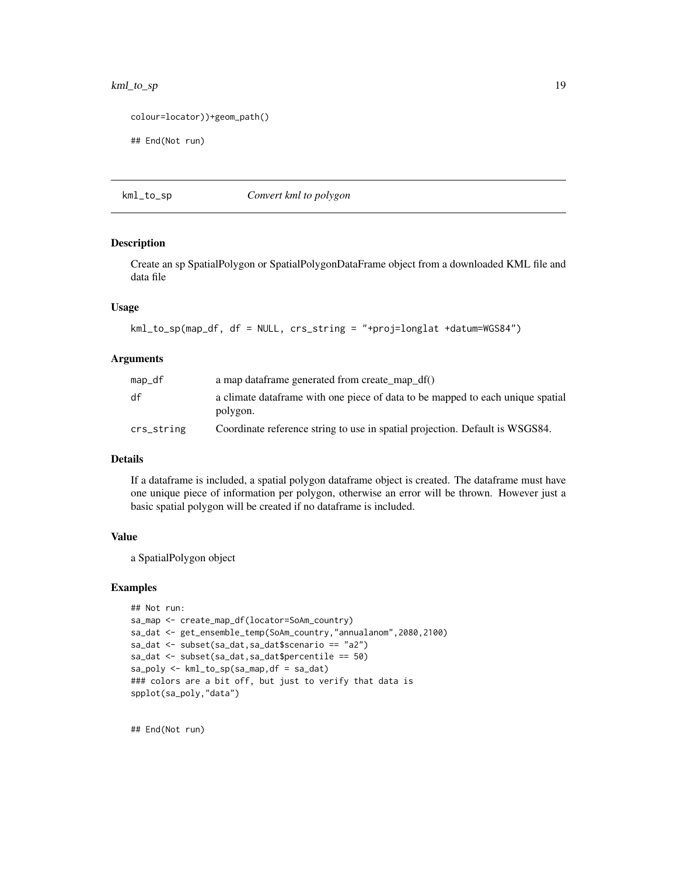# <span id="page-18-0"></span>kml\_to\_sp 19

```
colour=locator))+geom_path()
```
## End(Not run)

#### kml\_to\_sp *Convert kml to polygon*

#### Description

Create an sp SpatialPolygon or SpatialPolygonDataFrame object from a downloaded KML file and data file

#### Usage

```
kml_to_sp(map_df, df = NULL, crs_string = "+proj=longlat +datum=WGS84")
```
#### Arguments

| map_df     | a map dataframe generated from create_map_df()                                              |
|------------|---------------------------------------------------------------------------------------------|
| df         | a climate data frame with one piece of data to be mapped to each unique spatial<br>polygon. |
| crs_string | Coordinate reference string to use in spatial projection. Default is WSGS84.                |

#### Details

If a dataframe is included, a spatial polygon dataframe object is created. The dataframe must have one unique piece of information per polygon, otherwise an error will be thrown. However just a basic spatial polygon will be created if no dataframe is included.

#### Value

a SpatialPolygon object

#### Examples

```
## Not run:
sa_map <- create_map_df(locator=SoAm_country)
sa_dat <- get_ensemble_temp(SoAm_country,"annualanom",2080,2100)
sa_dat <- subset(sa_dat,sa_dat$scenario == "a2")
sa_dat <- subset(sa_dat,sa_dat$percentile == 50)
sa_poly <- kml_to_sp(sa_map,df = sa_dat)
### colors are a bit off, but just to verify that data is
spplot(sa_poly,"data")
```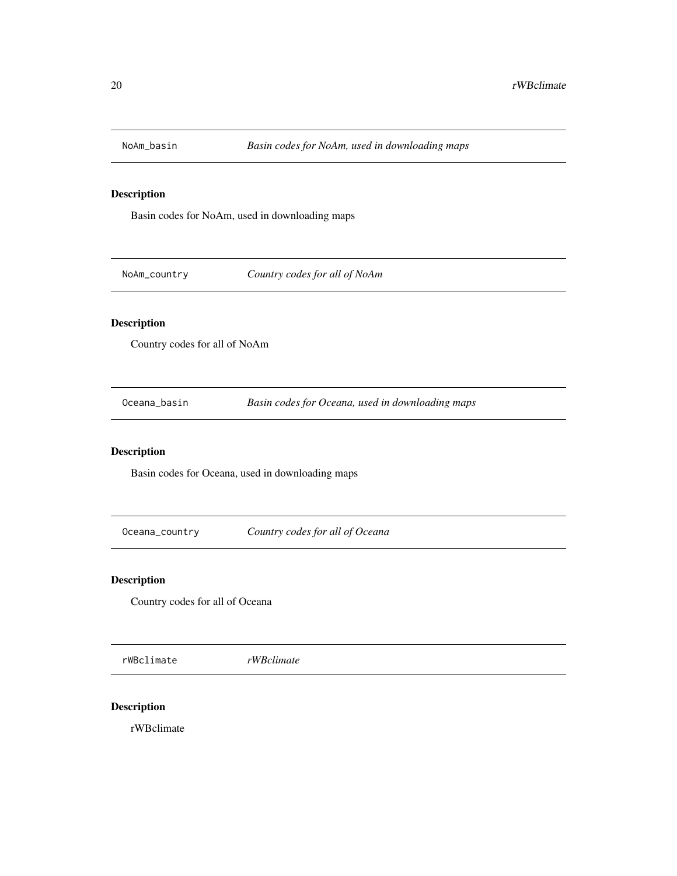<span id="page-19-0"></span>

Basin codes for NoAm, used in downloading maps

NoAm\_country *Country codes for all of NoAm*

# Description

Country codes for all of NoAm

Oceana\_basin *Basin codes for Oceana, used in downloading maps*

# Description

Basin codes for Oceana, used in downloading maps

Oceana\_country *Country codes for all of Oceana*

# Description

Country codes for all of Oceana

rWBclimate *rWBclimate*

# Description

rWBclimate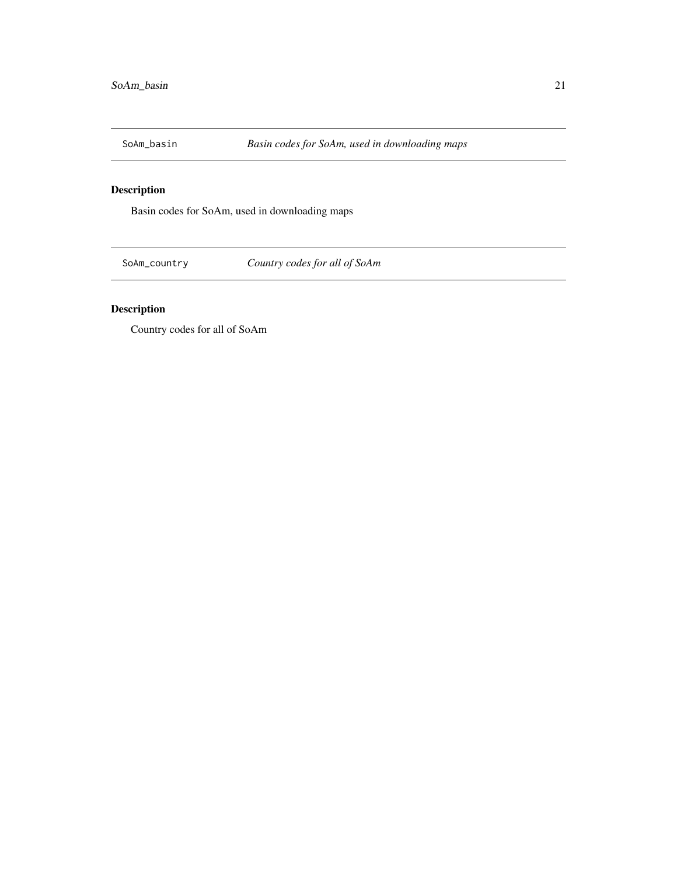<span id="page-20-0"></span>

Basin codes for SoAm, used in downloading maps

SoAm\_country *Country codes for all of SoAm*

# Description

Country codes for all of SoAm